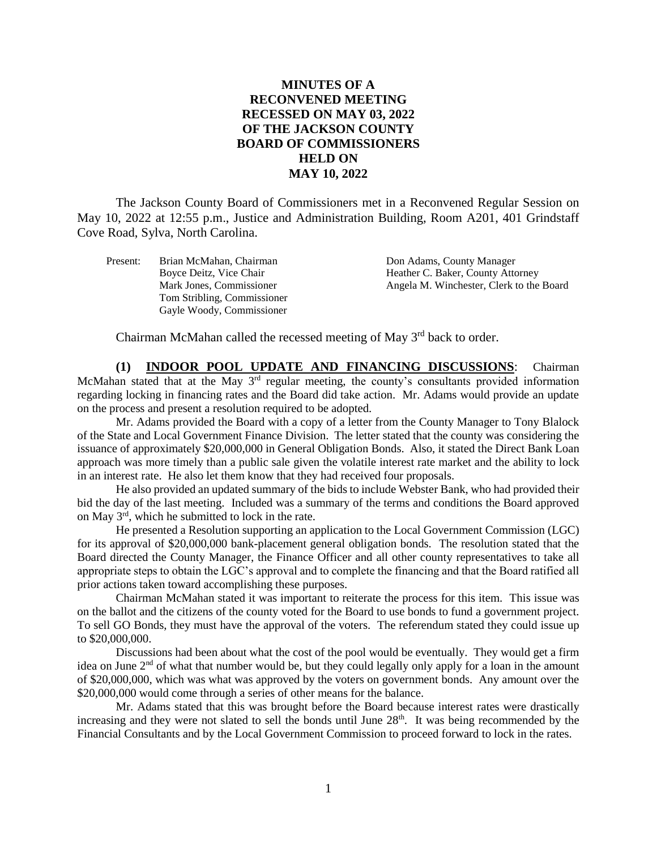## **MINUTES OF A RECONVENED MEETING RECESSED ON MAY 03, 2022 OF THE JACKSON COUNTY BOARD OF COMMISSIONERS HELD ON MAY 10, 2022**

The Jackson County Board of Commissioners met in a Reconvened Regular Session on May 10, 2022 at 12:55 p.m., Justice and Administration Building, Room A201, 401 Grindstaff Cove Road, Sylva, North Carolina.

Present: Brian McMahan, Chairman Don Adams, County Manager Tom Stribling, Commissioner Gayle Woody, Commissioner

Boyce Deitz, Vice Chair **Heather C. Baker, County Attorney** Mark Jones, Commissioner Angela M. Winchester, Clerk to the Board

Chairman McMahan called the recessed meeting of May  $3<sup>rd</sup>$  back to order.

**(1) INDOOR POOL UPDATE AND FINANCING DISCUSSIONS**: Chairman McMahan stated that at the May  $3<sup>rd</sup>$  regular meeting, the county's consultants provided information regarding locking in financing rates and the Board did take action. Mr. Adams would provide an update on the process and present a resolution required to be adopted.

Mr. Adams provided the Board with a copy of a letter from the County Manager to Tony Blalock of the State and Local Government Finance Division. The letter stated that the county was considering the issuance of approximately \$20,000,000 in General Obligation Bonds. Also, it stated the Direct Bank Loan approach was more timely than a public sale given the volatile interest rate market and the ability to lock in an interest rate. He also let them know that they had received four proposals.

He also provided an updated summary of the bids to include Webster Bank, who had provided their bid the day of the last meeting. Included was a summary of the terms and conditions the Board approved on May 3rd, which he submitted to lock in the rate.

He presented a Resolution supporting an application to the Local Government Commission (LGC) for its approval of \$20,000,000 bank-placement general obligation bonds. The resolution stated that the Board directed the County Manager, the Finance Officer and all other county representatives to take all appropriate steps to obtain the LGC's approval and to complete the financing and that the Board ratified all prior actions taken toward accomplishing these purposes.

Chairman McMahan stated it was important to reiterate the process for this item. This issue was on the ballot and the citizens of the county voted for the Board to use bonds to fund a government project. To sell GO Bonds, they must have the approval of the voters. The referendum stated they could issue up to \$20,000,000.

Discussions had been about what the cost of the pool would be eventually. They would get a firm idea on June 2<sup>nd</sup> of what that number would be, but they could legally only apply for a loan in the amount of \$20,000,000, which was what was approved by the voters on government bonds. Any amount over the \$20,000,000 would come through a series of other means for the balance.

Mr. Adams stated that this was brought before the Board because interest rates were drastically increasing and they were not slated to sell the bonds until June  $28<sup>th</sup>$ . It was being recommended by the Financial Consultants and by the Local Government Commission to proceed forward to lock in the rates.